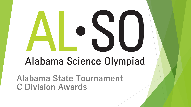# Alabama Science Olympiad

**Alabama State Tournament C Division Awards**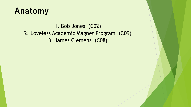#### **Anatomy**

1. Bob Jones (C02) 2. Loveless Academic Magnet Program (C09) 3. James Clemens (C08)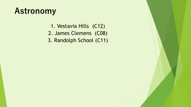### **Astronomy**

1. Vestavia Hills (C12) 2. James Clemens (C08) 3. Randolph School (C11)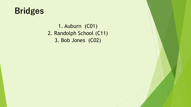

1. Auburn (C01) 2. Randolph School (C11) 3. Bob Jones (C02)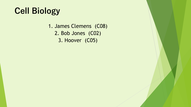## **Cell Biology**

1. James Clemens (C08) 2. Bob Jones (C02) 3. Hoover (C05)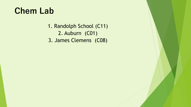#### **Chem Lab**

1. Randolph School (C11) 2. Auburn (C01) 3. James Clemens (C08)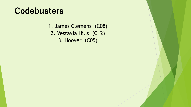#### **Codebusters**

- 1. James Clemens (C08)
- 2. Vestavia Hills (C12)
	- 3. Hoover (C05)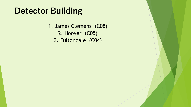#### **Detector Building**

1. James Clemens (C08) 2. Hoover (C05) 3. Fultondale (C04)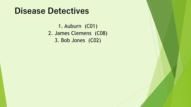#### **Disease Detectives**

1. Auburn (C01) 2. James Clemens (C08) 3. Bob Jones (C02)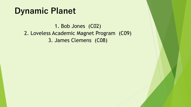#### **Dynamic Planet**

1. Bob Jones (C02) 2. Loveless Academic Magnet Program (C09) 3. James Clemens (C08)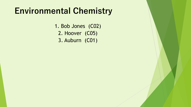#### **Environmental Chemistry**

1. Bob Jones (C02) 2. Hoover (C05) 3. Auburn (C01)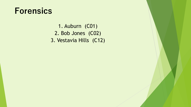#### **Forensics**

1. Auburn (C01) 2. Bob Jones (C02) 3. Vestavia Hills (C12)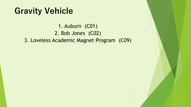#### **Gravity Vehicle**

1. Auburn (C01) 2. Bob Jones (C02) 3. Loveless Academic Magnet Program (C09)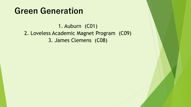#### **Green Generation**

1. Auburn (C01) 2. Loveless Academic Magnet Program (C09) 3. James Clemens (C08)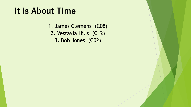### **It is About Time**

1. James Clemens (C08) 2. Vestavia Hills (C12) 3. Bob Jones (C02)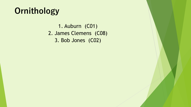## **Ornithology**

1. Auburn (C01) 2. James Clemens (C08) 3. Bob Jones (C02)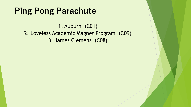### **Ping Pong Parachute**

1. Auburn (C01) 2. Loveless Academic Magnet Program (C09) 3. James Clemens (C08)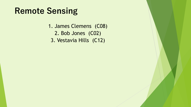#### **Remote Sensing**

1. James Clemens (C08) 2. Bob Jones (C02) 3. Vestavia Hills (C12)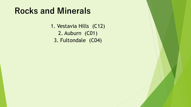#### **Rocks and Minerals**

1. Vestavia Hills (C12) 2. Auburn (C01) 3. Fultondale (C04)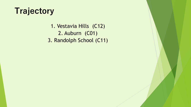#### **Trajectory**

1. Vestavia Hills (C12) 2. Auburn (C01) 3. Randolph School (C11)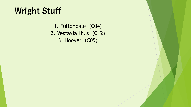## **Wright Stuff**

1. Fultondale (C04) 2. Vestavia Hills (C12) 3. Hoover (C05)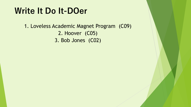#### **Write It Do It-DOer**

1. Loveless Academic Magnet Program (C09) 2. Hoover (C05) 3. Bob Jones (C02)